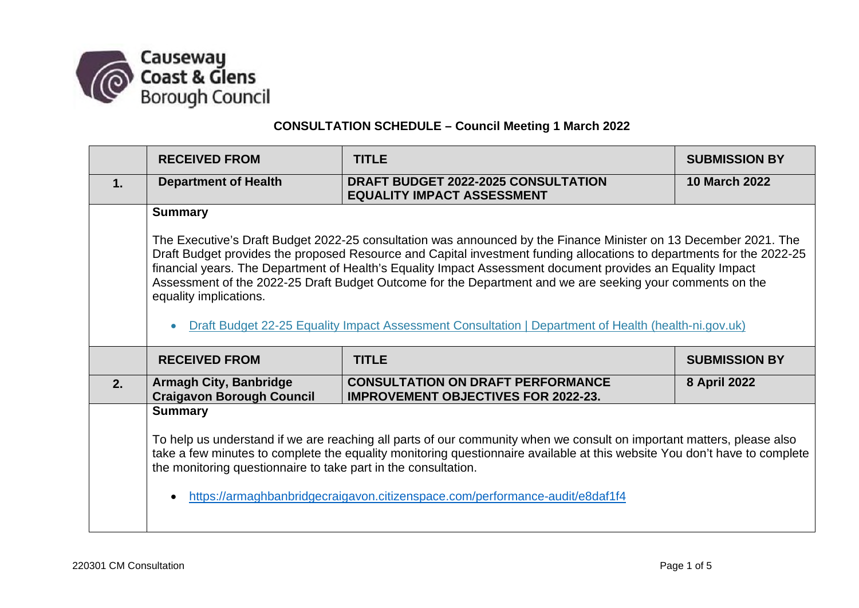

## **CONSULTATION SCHEDULE – Council Meeting 1 March 2022**

|    | <b>RECEIVED FROM</b>                                                                                                                                                                                                                                                                                                                                                                                                                                                                                                                                                                                    | <b>TITLE</b>                                                                           | <b>SUBMISSION BY</b> |  |
|----|---------------------------------------------------------------------------------------------------------------------------------------------------------------------------------------------------------------------------------------------------------------------------------------------------------------------------------------------------------------------------------------------------------------------------------------------------------------------------------------------------------------------------------------------------------------------------------------------------------|----------------------------------------------------------------------------------------|----------------------|--|
| 1. | <b>Department of Health</b>                                                                                                                                                                                                                                                                                                                                                                                                                                                                                                                                                                             | DRAFT BUDGET 2022-2025 CONSULTATION<br><b>EQUALITY IMPACT ASSESSMENT</b>               | <b>10 March 2022</b> |  |
|    | <b>Summary</b>                                                                                                                                                                                                                                                                                                                                                                                                                                                                                                                                                                                          |                                                                                        |                      |  |
|    | The Executive's Draft Budget 2022-25 consultation was announced by the Finance Minister on 13 December 2021. The<br>Draft Budget provides the proposed Resource and Capital investment funding allocations to departments for the 2022-25<br>financial years. The Department of Health's Equality Impact Assessment document provides an Equality Impact<br>Assessment of the 2022-25 Draft Budget Outcome for the Department and we are seeking your comments on the<br>equality implications.<br>Draft Budget 22-25 Equality Impact Assessment Consultation   Department of Health (health-ni.gov.uk) |                                                                                        |                      |  |
|    | <b>TITLE</b><br><b>RECEIVED FROM</b>                                                                                                                                                                                                                                                                                                                                                                                                                                                                                                                                                                    |                                                                                        |                      |  |
|    |                                                                                                                                                                                                                                                                                                                                                                                                                                                                                                                                                                                                         |                                                                                        | <b>SUBMISSION BY</b> |  |
| 2. | <b>Armagh City, Banbridge</b><br><b>Craigavon Borough Council</b>                                                                                                                                                                                                                                                                                                                                                                                                                                                                                                                                       | <b>CONSULTATION ON DRAFT PERFORMANCE</b><br><b>IMPROVEMENT OBJECTIVES FOR 2022-23.</b> | 8 April 2022         |  |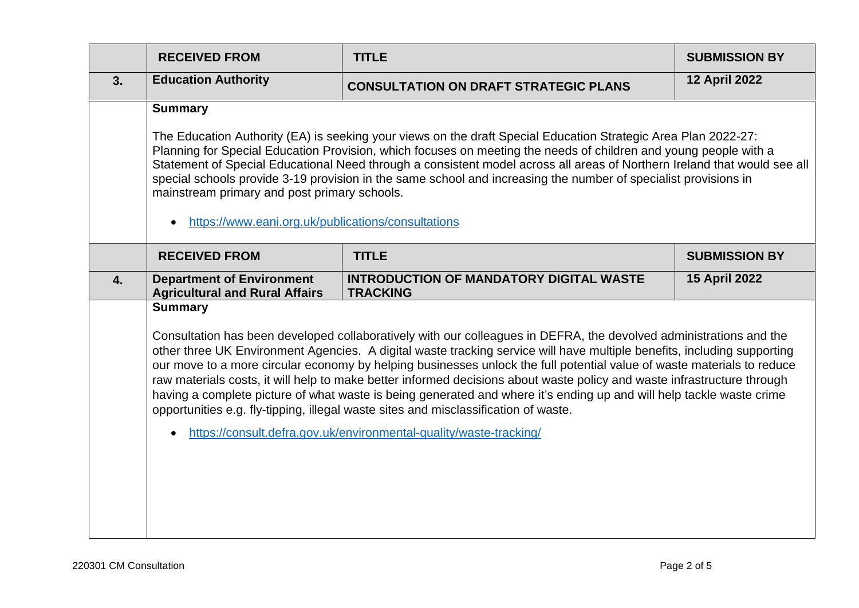|    | <b>RECEIVED FROM</b>                                                                                                                                                                                                                                                                                                                                                                                                                                                                                                                                                                    | <b>TITLE</b>                                                                                                                                                                                                                                                                                                                                                                                                                                                                                                                                                                                                                                                                                                                                                                            | <b>SUBMISSION BY</b> |  |
|----|-----------------------------------------------------------------------------------------------------------------------------------------------------------------------------------------------------------------------------------------------------------------------------------------------------------------------------------------------------------------------------------------------------------------------------------------------------------------------------------------------------------------------------------------------------------------------------------------|-----------------------------------------------------------------------------------------------------------------------------------------------------------------------------------------------------------------------------------------------------------------------------------------------------------------------------------------------------------------------------------------------------------------------------------------------------------------------------------------------------------------------------------------------------------------------------------------------------------------------------------------------------------------------------------------------------------------------------------------------------------------------------------------|----------------------|--|
| 3. | <b>Education Authority</b>                                                                                                                                                                                                                                                                                                                                                                                                                                                                                                                                                              | <b>CONSULTATION ON DRAFT STRATEGIC PLANS</b>                                                                                                                                                                                                                                                                                                                                                                                                                                                                                                                                                                                                                                                                                                                                            | <b>12 April 2022</b> |  |
|    | <b>Summary</b>                                                                                                                                                                                                                                                                                                                                                                                                                                                                                                                                                                          |                                                                                                                                                                                                                                                                                                                                                                                                                                                                                                                                                                                                                                                                                                                                                                                         |                      |  |
|    | The Education Authority (EA) is seeking your views on the draft Special Education Strategic Area Plan 2022-27:<br>Planning for Special Education Provision, which focuses on meeting the needs of children and young people with a<br>Statement of Special Educational Need through a consistent model across all areas of Northern Ireland that would see all<br>special schools provide 3-19 provision in the same school and increasing the number of specialist provisions in<br>mainstream primary and post primary schools.<br>https://www.eani.org.uk/publications/consultations |                                                                                                                                                                                                                                                                                                                                                                                                                                                                                                                                                                                                                                                                                                                                                                                         |                      |  |
|    | <b>RECEIVED FROM</b>                                                                                                                                                                                                                                                                                                                                                                                                                                                                                                                                                                    | <b>TITLE</b>                                                                                                                                                                                                                                                                                                                                                                                                                                                                                                                                                                                                                                                                                                                                                                            | <b>SUBMISSION BY</b> |  |
| 4. | <b>Department of Environment</b><br><b>Agricultural and Rural Affairs</b>                                                                                                                                                                                                                                                                                                                                                                                                                                                                                                               | <b>INTRODUCTION OF MANDATORY DIGITAL WASTE</b><br><b>TRACKING</b>                                                                                                                                                                                                                                                                                                                                                                                                                                                                                                                                                                                                                                                                                                                       | <b>15 April 2022</b> |  |
|    | <b>Summary</b>                                                                                                                                                                                                                                                                                                                                                                                                                                                                                                                                                                          | Consultation has been developed collaboratively with our colleagues in DEFRA, the devolved administrations and the<br>other three UK Environment Agencies. A digital waste tracking service will have multiple benefits, including supporting<br>our move to a more circular economy by helping businesses unlock the full potential value of waste materials to reduce<br>raw materials costs, it will help to make better informed decisions about waste policy and waste infrastructure through<br>having a complete picture of what waste is being generated and where it's ending up and will help tackle waste crime<br>opportunities e.g. fly-tipping, illegal waste sites and misclassification of waste.<br>https://consult.defra.gov.uk/environmental-quality/waste-tracking/ |                      |  |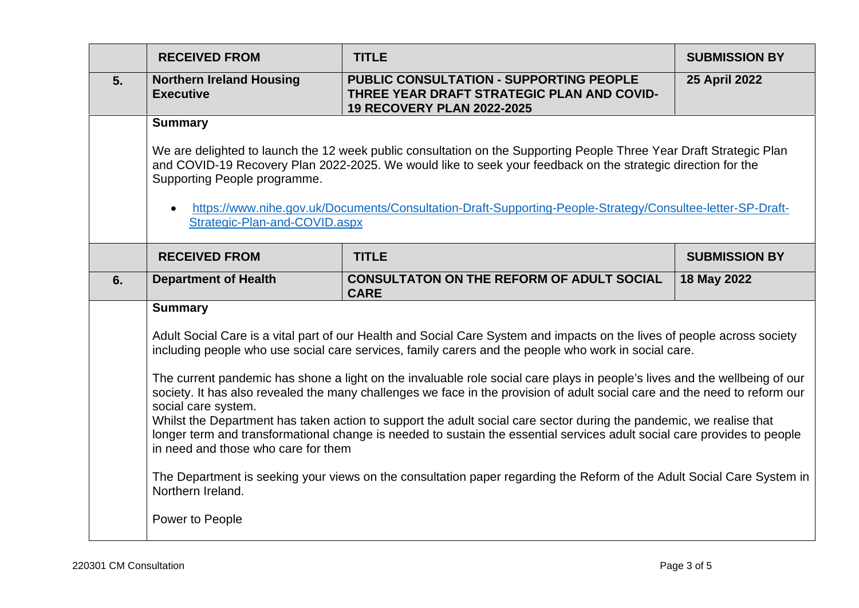|    | <b>RECEIVED FROM</b>                                                                                                                                                                                                                                                                                                                                                                                                                                                                                                                                                                                                                                                                                                                                                                                                                                                                                                                                                                              | <b>TITLE</b>                                                                                                                      | <b>SUBMISSION BY</b> |  |
|----|---------------------------------------------------------------------------------------------------------------------------------------------------------------------------------------------------------------------------------------------------------------------------------------------------------------------------------------------------------------------------------------------------------------------------------------------------------------------------------------------------------------------------------------------------------------------------------------------------------------------------------------------------------------------------------------------------------------------------------------------------------------------------------------------------------------------------------------------------------------------------------------------------------------------------------------------------------------------------------------------------|-----------------------------------------------------------------------------------------------------------------------------------|----------------------|--|
| 5. | <b>Northern Ireland Housing</b><br><b>Executive</b>                                                                                                                                                                                                                                                                                                                                                                                                                                                                                                                                                                                                                                                                                                                                                                                                                                                                                                                                               | <b>PUBLIC CONSULTATION - SUPPORTING PEOPLE</b><br>THREE YEAR DRAFT STRATEGIC PLAN AND COVID-<br><b>19 RECOVERY PLAN 2022-2025</b> | <b>25 April 2022</b> |  |
|    | <b>Summary</b><br>We are delighted to launch the 12 week public consultation on the Supporting People Three Year Draft Strategic Plan                                                                                                                                                                                                                                                                                                                                                                                                                                                                                                                                                                                                                                                                                                                                                                                                                                                             |                                                                                                                                   |                      |  |
|    | and COVID-19 Recovery Plan 2022-2025. We would like to seek your feedback on the strategic direction for the<br>Supporting People programme.                                                                                                                                                                                                                                                                                                                                                                                                                                                                                                                                                                                                                                                                                                                                                                                                                                                      |                                                                                                                                   |                      |  |
|    | https://www.nihe.gov.uk/Documents/Consultation-Draft-Supporting-People-Strategy/Consultee-letter-SP-Draft-<br>Strategic-Plan-and-COVID.aspx                                                                                                                                                                                                                                                                                                                                                                                                                                                                                                                                                                                                                                                                                                                                                                                                                                                       |                                                                                                                                   |                      |  |
|    | <b>RECEIVED FROM</b>                                                                                                                                                                                                                                                                                                                                                                                                                                                                                                                                                                                                                                                                                                                                                                                                                                                                                                                                                                              | <b>TITLE</b>                                                                                                                      | <b>SUBMISSION BY</b> |  |
| 6. | <b>Department of Health</b>                                                                                                                                                                                                                                                                                                                                                                                                                                                                                                                                                                                                                                                                                                                                                                                                                                                                                                                                                                       | <b>CONSULTATON ON THE REFORM OF ADULT SOCIAL</b><br><b>CARE</b>                                                                   | 18 May 2022          |  |
|    | <b>Summary</b><br>Adult Social Care is a vital part of our Health and Social Care System and impacts on the lives of people across society<br>including people who use social care services, family carers and the people who work in social care.<br>The current pandemic has shone a light on the invaluable role social care plays in people's lives and the wellbeing of our<br>society. It has also revealed the many challenges we face in the provision of adult social care and the need to reform our<br>social care system.<br>Whilst the Department has taken action to support the adult social care sector during the pandemic, we realise that<br>longer term and transformational change is needed to sustain the essential services adult social care provides to people<br>in need and those who care for them<br>The Department is seeking your views on the consultation paper regarding the Reform of the Adult Social Care System in<br>Northern Ireland.<br>Power to People |                                                                                                                                   |                      |  |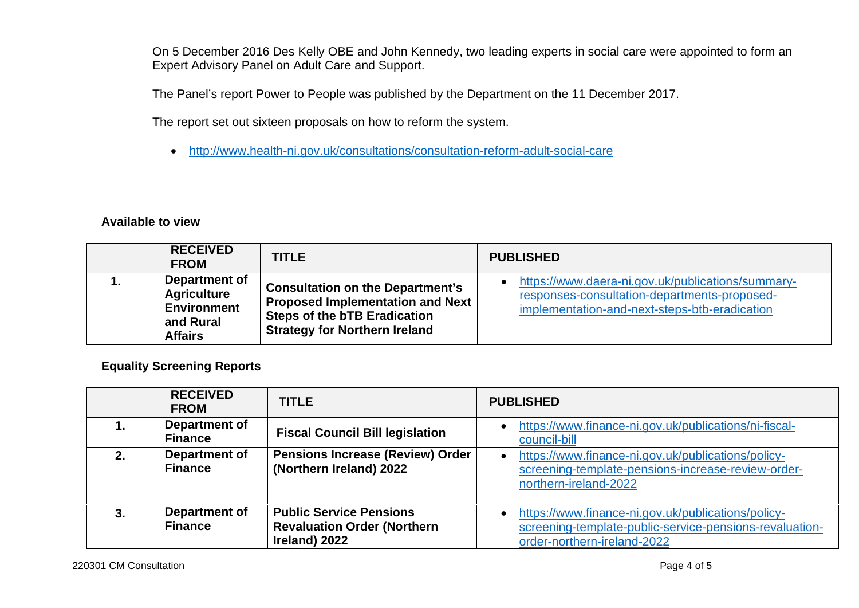On 5 December 2016 Des Kelly OBE and John Kennedy, two leading experts in social care were appointed to form an Expert Advisory Panel on Adult Care and Support. The Panel's report Power to People was published by the Department on the 11 December 2017. The report set out sixteen proposals on how to reform the system. <http://www.health-ni.gov.uk/consultations/consultation-reform-adult-social-care>

## **Available to view**

|    | <b>RECEIVED</b><br><b>FROM</b>                                                           | <b>TITLE</b>                                                                                                                                                      | <b>PUBLISHED</b>                                                                                                                                   |
|----|------------------------------------------------------------------------------------------|-------------------------------------------------------------------------------------------------------------------------------------------------------------------|----------------------------------------------------------------------------------------------------------------------------------------------------|
| 1. | Department of<br><b>Agriculture</b><br><b>Environment</b><br>and Rural<br><b>Affairs</b> | <b>Consultation on the Department's</b><br><b>Proposed Implementation and Next</b><br><b>Steps of the bTB Eradication</b><br><b>Strategy for Northern Ireland</b> | https://www.daera-ni.gov.uk/publications/summary-<br>responses-consultation-departments-proposed-<br>implementation-and-next-steps-btb-eradication |

**Equality Screening Reports** 

|    | <b>RECEIVED</b><br><b>FROM</b>  | <b>TITLE</b>                                                                          | <b>PUBLISHED</b>                                                                                                                                          |
|----|---------------------------------|---------------------------------------------------------------------------------------|-----------------------------------------------------------------------------------------------------------------------------------------------------------|
|    | Department of<br><b>Finance</b> | <b>Fiscal Council Bill legislation</b>                                                | https://www.finance-ni.gov.uk/publications/ni-fiscal-<br>council-bill                                                                                     |
| 2. | Department of<br><b>Finance</b> | <b>Pensions Increase (Review) Order</b><br>(Northern Ireland) 2022                    | https://www.finance-ni.gov.uk/publications/policy-<br>$\bullet$<br>screening-template-pensions-increase-review-order-<br>northern-ireland-2022            |
|    | Department of<br><b>Finance</b> | <b>Public Service Pensions</b><br><b>Revaluation Order (Northern</b><br>Ireland) 2022 | https://www.finance-ni.gov.uk/publications/policy-<br>$\bullet$<br>screening-template-public-service-pensions-revaluation-<br>order-northern-ireland-2022 |